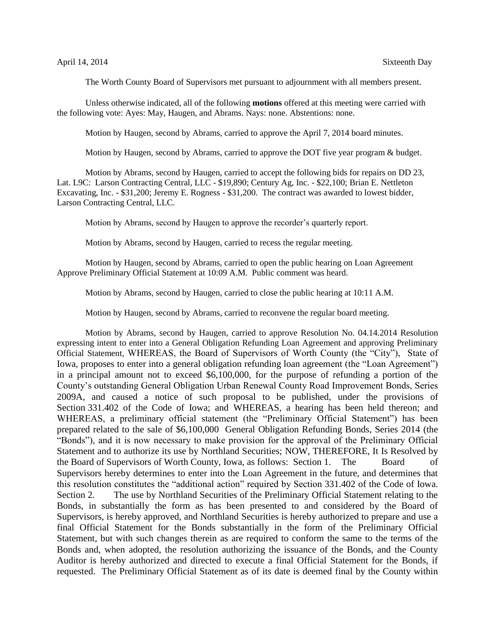The Worth County Board of Supervisors met pursuant to adjournment with all members present.

Unless otherwise indicated, all of the following **motions** offered at this meeting were carried with the following vote: Ayes: May, Haugen, and Abrams. Nays: none. Abstentions: none.

Motion by Haugen, second by Abrams, carried to approve the April 7, 2014 board minutes.

Motion by Haugen, second by Abrams, carried to approve the DOT five year program & budget.

Motion by Abrams, second by Haugen, carried to accept the following bids for repairs on DD 23, Lat. L9C: Larson Contracting Central, LLC - \$19,890; Century Ag, Inc. - \$22,100; Brian E. Nettleton Excavating, Inc. - \$31,200; Jeremy E. Rogness - \$31,200. The contract was awarded to lowest bidder, Larson Contracting Central, LLC.

Motion by Abrams, second by Haugen to approve the recorder's quarterly report.

Motion by Abrams, second by Haugen, carried to recess the regular meeting.

Motion by Haugen, second by Abrams, carried to open the public hearing on Loan Agreement Approve Preliminary Official Statement at 10:09 A.M. Public comment was heard.

Motion by Abrams, second by Haugen, carried to close the public hearing at 10:11 A.M.

Motion by Haugen, second by Abrams, carried to reconvene the regular board meeting.

Motion by Abrams, second by Haugen, carried to approve Resolution No. 04.14.2014 Resolution expressing intent to enter into a General Obligation Refunding Loan Agreement and approving Preliminary Official Statement, WHEREAS, the Board of Supervisors of Worth County (the "City"), State of Iowa, proposes to enter into a general obligation refunding loan agreement (the "Loan Agreement") in a principal amount not to exceed \$6,100,000, for the purpose of refunding a portion of the County's outstanding General Obligation Urban Renewal County Road Improvement Bonds, Series 2009A, and caused a notice of such proposal to be published, under the provisions of Section 331.402 of the Code of Iowa; and WHEREAS, a hearing has been held thereon; and WHEREAS, a preliminary official statement (the "Preliminary Official Statement") has been prepared related to the sale of \$6,100,000 General Obligation Refunding Bonds, Series 2014 (the "Bonds"), and it is now necessary to make provision for the approval of the Preliminary Official Statement and to authorize its use by Northland Securities; NOW, THEREFORE, It Is Resolved by the Board of Supervisors of Worth County, Iowa, as follows: Section 1. The Board of Supervisors hereby determines to enter into the Loan Agreement in the future, and determines that this resolution constitutes the "additional action" required by Section 331.402 of the Code of Iowa. Section 2. The use by Northland Securities of the Preliminary Official Statement relating to the Bonds, in substantially the form as has been presented to and considered by the Board of Supervisors, is hereby approved, and Northland Securities is hereby authorized to prepare and use a final Official Statement for the Bonds substantially in the form of the Preliminary Official Statement, but with such changes therein as are required to conform the same to the terms of the Bonds and, when adopted, the resolution authorizing the issuance of the Bonds, and the County Auditor is hereby authorized and directed to execute a final Official Statement for the Bonds, if requested. The Preliminary Official Statement as of its date is deemed final by the County within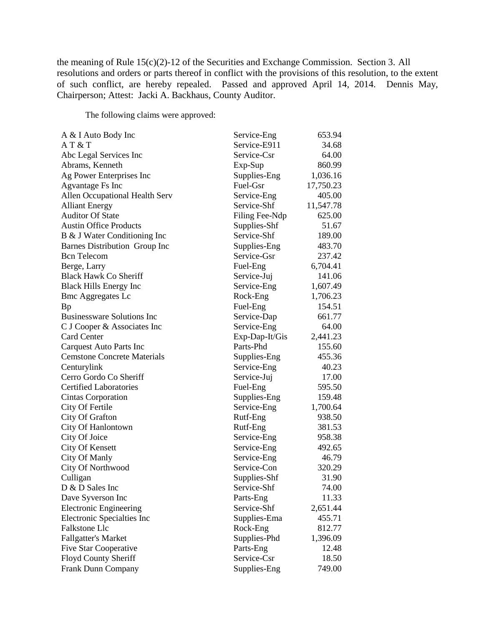the meaning of Rule 15(c)(2)-12 of the Securities and Exchange Commission. Section 3. All resolutions and orders or parts thereof in conflict with the provisions of this resolution, to the extent of such conflict, are hereby repealed. Passed and approved April 14, 2014. Dennis May, Chairperson; Attest: Jacki A. Backhaus, County Auditor.

The following claims were approved:

| A & I Auto Body Inc                | Service-Eng    | 653.94    |
|------------------------------------|----------------|-----------|
| AT & T                             | Service-E911   | 34.68     |
| Abc Legal Services Inc             | Service-Csr    | 64.00     |
| Abrams, Kenneth                    | Exp-Sup        | 860.99    |
| Ag Power Enterprises Inc           | Supplies-Eng   | 1,036.16  |
| Agvantage Fs Inc                   | Fuel-Gsr       | 17,750.23 |
| Allen Occupational Health Serv     | Service-Eng    | 405.00    |
| <b>Alliant Energy</b>              | Service-Shf    | 11,547.78 |
| <b>Auditor Of State</b>            | Filing Fee-Ndp | 625.00    |
| <b>Austin Office Products</b>      | Supplies-Shf   | 51.67     |
| B & J Water Conditioning Inc       | Service-Shf    | 189.00    |
| Barnes Distribution Group Inc      | Supplies-Eng   | 483.70    |
| <b>Bcn</b> Telecom                 | Service-Gsr    | 237.42    |
| Berge, Larry                       | Fuel-Eng       | 6,704.41  |
| <b>Black Hawk Co Sheriff</b>       | Service-Juj    | 141.06    |
| <b>Black Hills Energy Inc</b>      | Service-Eng    | 1,607.49  |
| <b>Bmc Aggregates Lc</b>           | Rock-Eng       | 1,706.23  |
| <b>Bp</b>                          | Fuel-Eng       | 154.51    |
| <b>Businessware Solutions Inc</b>  | Service-Dap    | 661.77    |
| C J Cooper & Associates Inc        | Service-Eng    | 64.00     |
| <b>Card Center</b>                 | Exp-Dap-It/Gis | 2,441.23  |
| <b>Carquest Auto Parts Inc</b>     | Parts-Phd      | 155.60    |
| <b>Cemstone Concrete Materials</b> | Supplies-Eng   | 455.36    |
| Centurylink                        | Service-Eng    | 40.23     |
| Cerro Gordo Co Sheriff             | Service-Juj    | 17.00     |
| <b>Certified Laboratories</b>      | Fuel-Eng       | 595.50    |
| <b>Cintas Corporation</b>          | Supplies-Eng   | 159.48    |
| City Of Fertile                    | Service-Eng    | 1,700.64  |
| City Of Grafton                    | Rutf-Eng       | 938.50    |
| City Of Hanlontown                 | Rutf-Eng       | 381.53    |
| City Of Joice                      | Service-Eng    | 958.38    |
| City Of Kensett                    | Service-Eng    | 492.65    |
| City Of Manly                      | Service-Eng    | 46.79     |
| City Of Northwood                  | Service-Con    | 320.29    |
| Culligan                           | Supplies-Shf   | 31.90     |
| D & D Sales Inc                    | Service-Shf    | 74.00     |
| Dave Syverson Inc                  | Parts-Eng      | 11.33     |
| <b>Electronic Engineering</b>      | Service-Shf    | 2,651.44  |
| Electronic Specialties Inc         | Supplies-Ema   | 455.71    |
| <b>Falkstone Llc</b>               | Rock-Eng       | 812.77    |
| <b>Fallgatter's Market</b>         | Supplies-Phd   | 1,396.09  |
| Five Star Cooperative              | Parts-Eng      | 12.48     |
| Floyd County Sheriff               | Service-Csr    | 18.50     |
| Frank Dunn Company                 | Supplies-Eng   | 749.00    |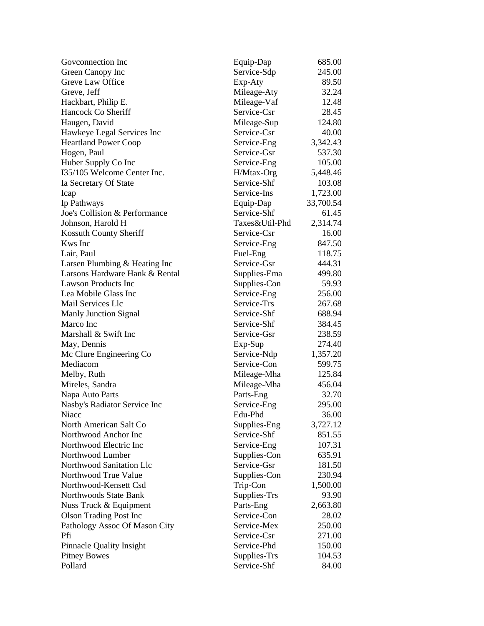| Goveonnection Inc               | Equip-Dap      | 685.00    |
|---------------------------------|----------------|-----------|
| Green Canopy Inc                | Service-Sdp    | 245.00    |
| Greve Law Office                | Exp-Aty        | 89.50     |
| Greve, Jeff                     | Mileage-Aty    | 32.24     |
| Hackbart, Philip E.             | Mileage-Vaf    | 12.48     |
| Hancock Co Sheriff              | Service-Csr    | 28.45     |
| Haugen, David                   | Mileage-Sup    | 124.80    |
| Hawkeye Legal Services Inc      | Service-Csr    | 40.00     |
| <b>Heartland Power Coop</b>     | Service-Eng    | 3,342.43  |
| Hogen, Paul                     | Service-Gsr    | 537.30    |
| Huber Supply Co Inc             | Service-Eng    | 105.00    |
| I35/105 Welcome Center Inc.     | $H/M$ tax-Org  | 5,448.46  |
| Ia Secretary Of State           | Service-Shf    | 103.08    |
| Icap                            | Service-Ins    | 1,723.00  |
| Ip Pathways                     | Equip-Dap      | 33,700.54 |
| Joe's Collision & Performance   | Service-Shf    | 61.45     |
| Johnson, Harold H               | Taxes&Util-Phd | 2,314.74  |
| Kossuth County Sheriff          | Service-Csr    | 16.00     |
| <b>Kws</b> Inc                  | Service-Eng    | 847.50    |
| Lair, Paul                      | Fuel-Eng       | 118.75    |
| Larsen Plumbing & Heating Inc   | Service-Gsr    | 444.31    |
| Larsons Hardware Hank & Rental  | Supplies-Ema   | 499.80    |
| <b>Lawson Products Inc</b>      | Supplies-Con   | 59.93     |
| Lea Mobile Glass Inc            | Service-Eng    | 256.00    |
| Mail Services Llc               | Service-Trs    | 267.68    |
| <b>Manly Junction Signal</b>    | Service-Shf    | 688.94    |
| Marco Inc                       | Service-Shf    | 384.45    |
| Marshall & Swift Inc            | Service-Gsr    | 238.59    |
| May, Dennis                     | Exp-Sup        | 274.40    |
| Mc Clure Engineering Co         | Service-Ndp    | 1,357.20  |
| Mediacom                        | Service-Con    | 599.75    |
| Melby, Ruth                     | Mileage-Mha    | 125.84    |
| Mireles, Sandra                 | Mileage-Mha    | 456.04    |
| Napa Auto Parts                 | Parts-Eng      | 32.70     |
| Nasby's Radiator Service Inc    | Service-Eng    | 295.00    |
| Niacc                           | Edu-Phd        | 36.00     |
| North American Salt Co          | Supplies-Eng   | 3,727.12  |
| Northwood Anchor Inc            | Service-Shf    | 851.55    |
| Northwood Electric Inc          | Service-Eng    | 107.31    |
| Northwood Lumber                | Supplies-Con   | 635.91    |
| Northwood Sanitation Llc        | Service-Gsr    | 181.50    |
| Northwood True Value            | Supplies-Con   | 230.94    |
| Northwood-Kensett Csd           | Trip-Con       | 1,500.00  |
| Northwoods State Bank           | Supplies-Trs   | 93.90     |
| Nuss Truck & Equipment          | Parts-Eng      | 2,663.80  |
| <b>Olson Trading Post Inc</b>   | Service-Con    | 28.02     |
| Pathology Assoc Of Mason City   | Service-Mex    | 250.00    |
| Pfi                             | Service-Csr    | 271.00    |
| <b>Pinnacle Quality Insight</b> | Service-Phd    | 150.00    |
| <b>Pitney Bowes</b>             | Supplies-Trs   | 104.53    |
| Pollard                         | Service-Shf    | 84.00     |
|                                 |                |           |